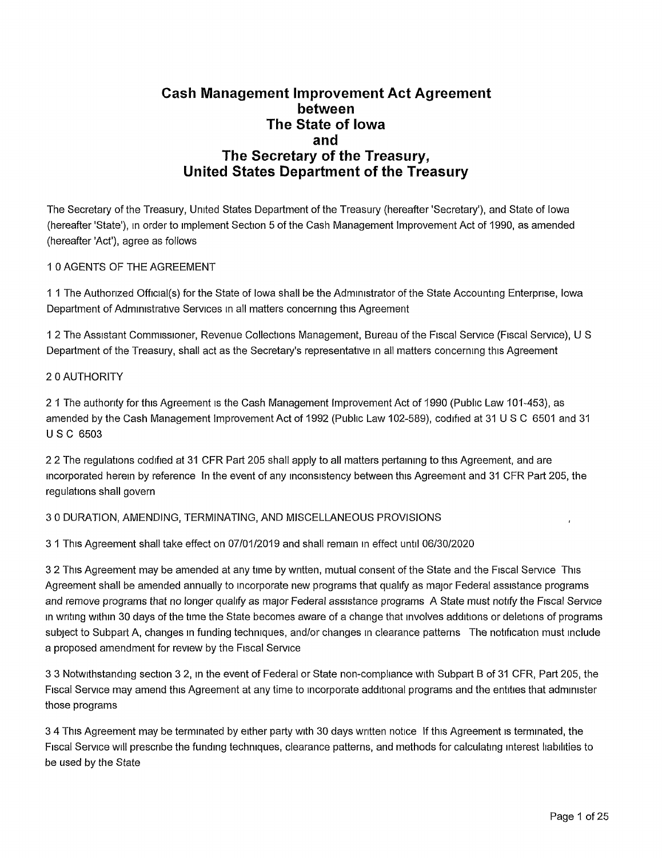## **Cash Management Improvement Act Agreement between The State of Iowa and The Secretary of the Treasury, United States Department of the Treasury**

The Secretary of the Treasury, United States Department of the Treasury (hereafter'Secretary'), and State of Iowa (hereafter 'State'), in order to implement Section 5 of the Cash Management Improvement Act of 1990, as amended (hereafter 'Act'), agree as follows

## <sup>1</sup> 0 AGENTS OF THE AGREEMENT

<sup>1</sup> <sup>1</sup> The Authorized Official(s) for the State of Iowa shall be the Administrator of the State Accounting Enterprise, Iowa Department of Administrative Services in all matters concerning this Agreement

<sup>1</sup> 2 The Assistant Commissioner, Revenue Collections Management, Bureau of the Fiscal Service (Fiscal Service), U S Department of the Treasury, shall act as the Secretary's representative in all matters concerning this Agreement

#### 2 0 AUTHORITY

2 <sup>1</sup> The authority for this Agreement is the Cash Management Improvement Act of 1990 (Public Law 101-453), as amended by the Cash Management Improvement Act of 1992 (Public Law 102-589), codified at 31 U S C 6501 and 31 USC 6503

2 2 The regulations codified at 31 CFR Part 205 shall apply to all matters pertaining to this Agreement, and are incorporated herein by reference In the event of any inconsistency between this Agreement and 31 CFR Part 205, the regulations shall govern

## 3 0 DURATION, AMENDING, TERMINATING, AND MISCELLANEOUS PROVISIONS ,

3 <sup>1</sup> This Agreement shall take effect on 07/01/2019 and shall remain in effect until 06/30/2020

3 2 This Agreement may be amended at any time by written, mutual consent of the State and the Fiscal Service This Agreement shall be amended annually to incorporate new programs that qualify as major Federal assistance programs and remove programs that no longer qualify as major Federal assistance programs A State must notify the Fiscal Service in writing within 30 days of the time the State becomes aware of a change that involves additions or deletions of programs subject to Subpart A, changes in funding techniques, and/or changes in clearance patterns The notification must include a proposed amendment for review by the Fiscal Service

3 3 Notwithstanding section 3 2, m the event of Federal or State non-compliance with Subpart B of 31 CFR, Part 205, the Fiscal Service may amend this Agreement at any time to incorporate additional programs and the entities that administer those programs

3 4 This Agreement may be terminated by either party with 30 days written notice If this Agreement is terminated, the Fiscal Service will prescribe the funding techniques, clearance patterns, and methods for calculating interest liabilities to be used by the State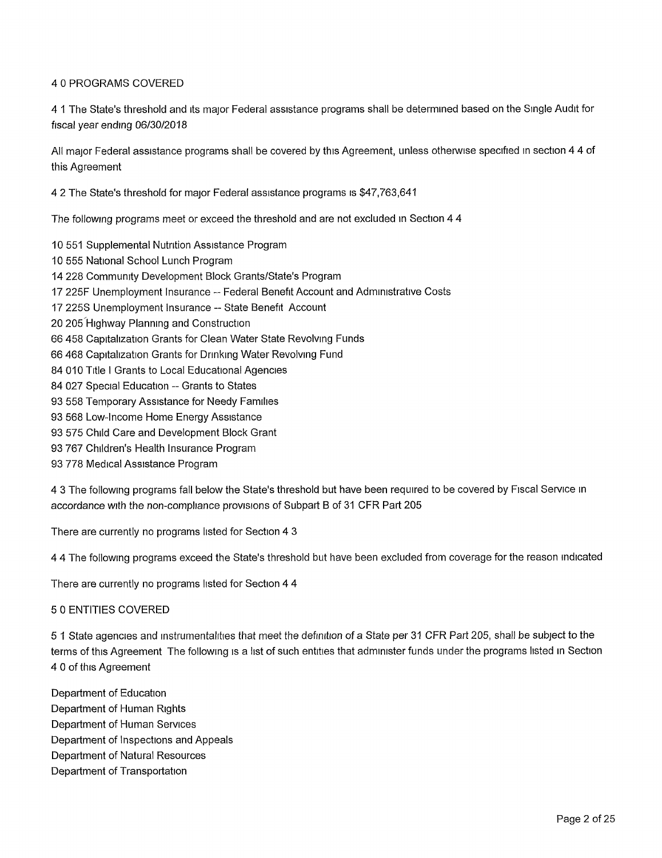## 4 0 PROGRAMS COVERED

4 1 The State's threshold and its major Federal assistance programs shall be determined based on the Single Audit for fiscal year ending 06/30/2018

All major Federal assistance programs shall be covered by this Agreement, unless otherwise specified in section 4 4 of this Agreement

4 2 The State's threshold for major Federal assistance programs is \$47,763,641

The following programs meet or exceed the threshold and are not excluded in Section 4 4

- 10 551 Supplemental Nutrition Assistance Program
- 10 555 National School Lunch Program
- 14 228 Community Development Block Grants/State's Program
- <sup>17</sup> 225F Unemployment Insurance Federal Benefit Account and Administrative Costs
- 17 225S Unemployment Insurance State Benefit Account
- 20 205 Highway Planning and Construction
- 66 458 Capitalization Grants for Clean Water State Revolving Funds
- 66 468 Capitalization Grants for Drinking Water Revolving Fund
- 84 010 Title <sup>I</sup> Grants to Local Educational Agencies
- 84 027 Special Education -- Grants to States
- 93 558 Temporary Assistance for Needy Families
- 93 568 Low-Income Home Energy Assistance
- 93 575 Child Care and Development Block Grant
- 93 767 Children's Health Insurance Program
- 93 778 Medical Assistance Program

4 3 The following programs fall below the State's threshold but have been required to be covered by Fiscal Service in accordance with the non-compliance provisions of Subpart B of 31 CFR Part 205

There are currently no programs listed for Section 4 3

4 4 The following programs exceed the State's threshold but have been excluded from coverage for the reason indicated

There are currently no programs listed for Section 4 4

#### 5 0 ENTITIES COVERED

5 <sup>1</sup> State agencies and instrumentalities that meet the definition of a State per 31 CFR Part 205, shall be subject to the terms of this Agreement The following is a list of such entities that administer funds under the programs listed in Section 4 0 of this Agreement

Department of Education Department of Human Rights Department of Human Services Department of Inspections and Appeals Department of Natural Resources Department of Transportation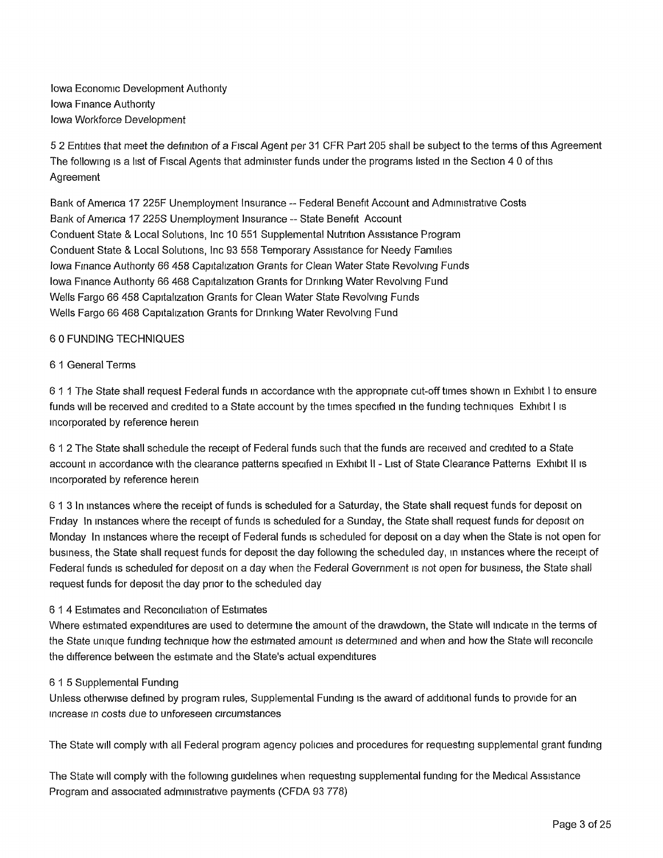Iowa Economic Development Authority Iowa Finance Authority Iowa Workforce Development

5 2 Entities that meet the definition of a Fiscal Agent per 31 CFR Part 205 shall be subject to the terms of this Agreement The following is a list of Fiscal Agents that administer funds under the programs listed in the Section 4 0 of this Agreement

Bank of America 17 225F Unemployment Insurance -- Federal Benefit Account and Administrative Costs Bank of America 17 225S Unemployment Insurance -- State Benefit Account Conduent State & Local Solutions, Inc 10 551 Supplemental Nutrition Assistance Program Conduent State & Local Solutions, Inc 93 558 Temporary Assistance for Needy Families Iowa Finance Authority 66 458 Capitalization Grants for Clean Water State Revolving Funds Iowa Finance Authority 66 468 Capitalization Grants for Drinking Water Revolving Fund Wells Fargo 66 458 Capitalization Grants for Clean Water State Revolving Funds Wells Fargo 66 468 Capitalization Grants for Drinking Water Revolving Fund

## 6 0 FUNDING TECHNIQUES

#### 6 <sup>1</sup> General Terms

6 11 The State shall request Federal funds in accordance with the appropriate cut-off times shown in Exhibit <sup>I</sup> to ensure funds will be received and credited to a State account by the times specified in the funding techniques Exhibit <sup>I</sup> is incorporated by reference herein

6 12 The State shall schedule the receipt of Federal funds such that the funds are received and credited to a State account in accordance with the clearance patterns specified in Exhibit II - List of State Clearance Patterns Exhibit II is incorporated by reference herein

6 <sup>1</sup> 3 In instances where the receipt of funds is scheduled for a Saturday, the State shall request funds for deposit on Friday In instances where the receipt of funds is scheduled for a Sunday, the State shall request funds for deposit on Monday In instances where the receipt of Federal funds is scheduled for deposit on a day when the State is not open for business, the State shall request funds for deposit the day following the scheduled day, in instances where the receipt of Federal funds is scheduled for deposit on a day when the Federal Government is not open for business, the State shall request funds for deposit the day prior to the scheduled day

#### 6 14 Estimates and Reconciliation of Estimates

Where estimated expenditures are used to determine the amount of the drawdown, the State will indicate in the terms of the State unique funding technique how the estimated amount is determined and when and how the State will reconcile the difference between the estimate and the State's actual expenditures

#### 6 15 Supplemental Funding

Unless otherwise defined by program rules, Supplemental Funding is the award of additional funds to provide for an increase in costs due to unforeseen circumstances

The State will comply with all Federal program agency policies and procedures for requesting supplemental grant funding

The State will comply with the following guidelines when requesting supplemental funding for the Medical Assistance Program and associated administrative payments (CFDA 93 778)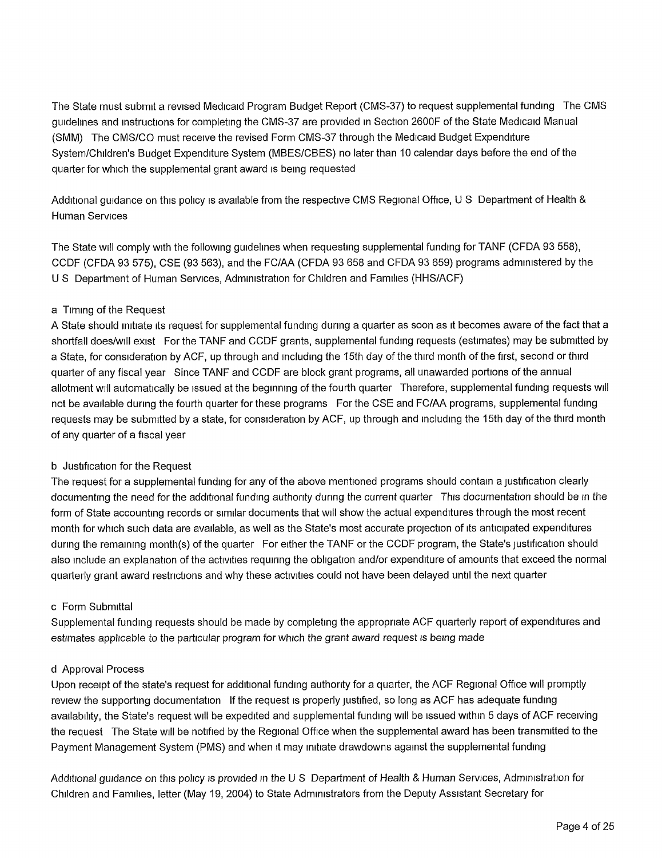The State must submit a revised Medicaid Program Budget Report (CMS-37) to request supplemental funding The CMS guidelines and instructions for completing the CMS-37 are provided in Section 2600F of the State Medicaid Manual (SMM) The CMS/CO must receive the revised Form CMS-37 through the Medicaid Budget Expenditure System/Children's Budget Expenditure System (MBES/CBES) no later than 10 calendar days before the end of the quarter for which the supplemental grant award is being requested

Additional guidance on this policy is available from the respective CMS Regional Office, U S Department of Health & Human Services

The State will comply with the following guidelines when requesting supplemental funding for TANF (CFDA 93 558), CCDF (CFDA 93 575), CSE (93 563), and the FC/AA (CFDA 93 658 and CFDA 93 659) programs administered by the U S Department of Human Services, Administration for Children and Families (HHS/ACF)

## a Timing of the Request

A State should initiate its request for supplemental funding during a quarter as soon as it becomes aware of the fact that a shortfall does/will exist For the TANF and CCDF grants, supplemental funding requests (estimates) may be submitted by a State, for consideration by ACF, up through and including the 15th day of the third month of the first, second or third quarter of any fiscal year Since TANF and CCDF are block grant programs, all unawarded portions of the annual allotment will automatically be issued at the beginning of the fourth quarter Therefore, supplemental funding requests will not be available during the fourth quarter for these programs For the CSE and FC/AA programs, supplemental funding requests may be submitted by a state, for consideration by ACF, up through and including the 15th day of the third month of any quarter of a fiscal year

## b Justification for the Request

The request for a supplemental funding for any of the above mentioned programs should contain a justification clearly documenting the need for the additional funding authority during the current quarter This documentation should be in the form of State accounting records or similar documents that will show the actual expenditures through the most recent month for which such data are available, as well as the State's most accurate projection of its anticipated expenditures during the remaining month(s) of the quarter For either the TANF or the CCDF program, the State's justification should also include an explanation of the activities requiring the obligation and/or expenditure of amounts that exceed the normal quarterly grant award restrictions and why these activities could not have been delayed until the next quarter

#### c Form Submittal

Supplemental funding requests should be made by completing the appropriate ACF quarterly report of expenditures and estimates applicable to the particular program for which the grant award request is being made

#### d Approval Process

Upon receipt of the state's request for additional funding authority for a quarter, the ACF Regional Office will promptly review the supporting documentation If the request is properly justified, so long as ACF has adequate funding availability, the State's request will be expedited and supplemental funding will be issued within 5 days of ACF receiving the request The State will be notified by the Regional Office when the supplemental award has been transmitted to the Payment Management System (PMS) and when it may initiate drawdowns against the supplemental funding

Additional guidance on this policy is provided in the U S Department of Health & Human Services, Administration for Children and Families, letter (May 19, 2004) to State Administrators from the Deputy Assistant Secretary for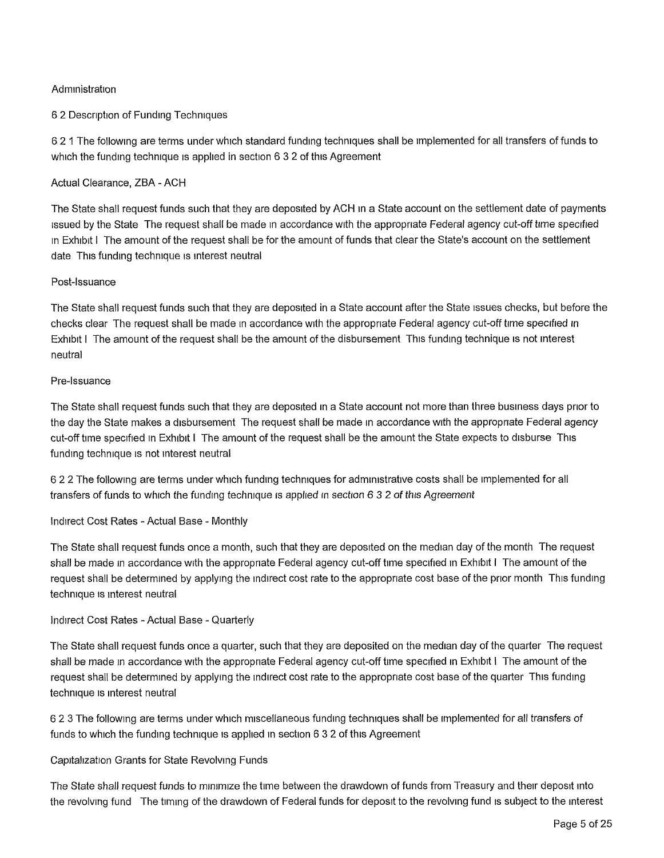## **Administration**

## 6 2 Description of Funding Techniques

6 2 <sup>1</sup> The following are terms under which standard funding techniques shall be implemented for all transfers of funds to which the funding technique is applied in section 6 3 2 of this Agreement

### Actual Clearance, ZBA - ACH

The State shall request funds such that they are deposited by ACH in a State account on the settlement date of payments issued by the State The request shall be made in accordance with the appropriate Federal agency cut-off time specified in Exhibit <sup>I</sup> The amount of the request shall be for the amount of funds that clear the State's account on the settlement date This funding technique is interest neutral

### Post-Issuance

The State shall request funds such that they are deposited in a State account after the State issues checks, but before the checks clear The request shall be made in accordance with the appropriate Federal agency cut-off time specified in Exhibit <sup>I</sup> The amount of the request shall be the amount of the disbursement This funding technique is not interest neutral

### Pre-Issuance

The State shall request funds such that they are deposited in a State account not more than three business days prior to the day the State makes a disbursement The request shall be made in accordance with the appropriate Federal agency cut-off time specified in Exhibit <sup>I</sup> The amount of the request shall be the amount the State expects to disburse This funding technique is not interest neutral

6 2 2 The following are terms under which funding techniques for administrative costs shall be implemented for all transfers of funds to which the funding technique is applied in section *6 32of* this *Agreement*

Indirect Cost Rates - Actual Base - Monthly

The State shall request funds once a month, such that they are deposited on the median day of the month The request shall be made in accordance with the appropriate Federal agency cut-off time specified in Exhibit <sup>I</sup> The amount of the request shall be determined by applying the indirect cost rate to the appropriate cost base of the prior month This funding technique is interest neutral

## Indirect Cost Rates - Actual Base - Quarterly

The State shall request funds once a quarter, such that they are deposited on the median day of the quarter The request shall be made in accordance with the appropriate Federal agency cut-off time specified in Exhibit <sup>I</sup> The amount of the request shall be determined by applying the indirect cost rate to the appropriate cost base of the quarter This funding technique is interest neutral

6 2 3 The following are terms under which miscellaneous funding techniques shall be implemented for all transfers of funds to which the funding technique is applied in section 6 3 2 of this Agreement

#### Capitalization Grants for State Revolving Funds

The State shall request funds to minimize the time between the drawdown of funds from Treasury and their deposit into the revolving fund The timing of the drawdown of Federal funds for deposit to the revolving fund is subject to the interest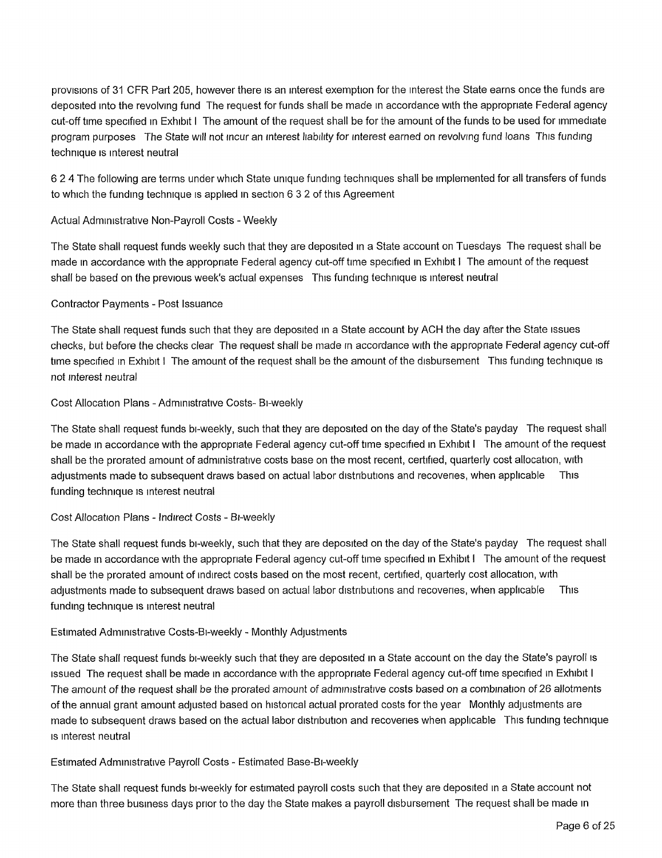provisions of 31 CFR Part 205, however there is an interest exemption for the interest the State earns once the funds are deposited into the revolving fund The request for funds shall be made in accordance with the appropriate Federal agency cut-off time specified in Exhibit <sup>I</sup> The amount of the request shall be for the amount of the funds to be used for immediate program purposes The State will not incur an interest liability for interest earned on revolving fund loans This funding technique is interest neutral

6 2 4 The following are terms under which State unique funding techniques shall be implemented for all transfers of funds to which the funding technique is applied in section 6 3 2 of this Agreement

## Actual Administrative Non-Payroll Costs - Weekly

The State shall request funds weekly such that they are deposited in a State account on Tuesdays The request shall be made in accordance with the appropriate Federal agency cut-off time specified in Exhibit <sup>I</sup> The amount of the request shall be based on the previous week's actual expenses This funding technique is interest neutral

#### Contractor Payments - Post Issuance

The State shall request funds such that they are deposited in a State account by ACH the day after the State issues checks, but before the checks clear The request shall be made in accordance with the appropriate Federal agency cut-off time specified in Exhibit I The amount of the request shall be the amount of the disbursement This funding technique is not interest neutral

#### Cost Allocation Plans - Administrative Costs- Bi-weekly

The State shall request funds bi-weekly, such that they are deposited on the day of the State's payday The request shall be made in accordance with the appropriate Federal agency cut-off time specified in Exhibit <sup>I</sup> The amount of the request shall be the prorated amount of administrative costs base on the most recent, certified, quarterly cost allocation, with adjustments made to subsequent draws based on actual labor distributions and recoveries, when applicable This funding technique is interest neutral

#### Cost Allocation Plans - Indirect Costs - Bi-weekly

The State shall request funds bi-weekly, such that they are deposited on the day of the State's payday The request shall be made in accordance with the appropriate Federal agency cut-off time specified in Exhibit <sup>I</sup> The amount of the request shall be the prorated amount of indirect costs based on the most recent, certified, quarterly cost allocation, with adjustments made to subsequent draws based on actual labor distributions and recoveries, when applicable This funding technique is interest neutral

#### Estimated Administrative Costs-Bi-weekly - Monthly Adjustments

The State shall request funds bi-weekly such that they are deposited in a State account on the day the State's payroll is issued The request shall be made in accordance with the appropriate Federal agency cut-off time specified in Exhibit <sup>I</sup> The amount of the request shall be the prorated amount *of* administrative costs based on a combination of 26 allotments of the annual grant amount adjusted based on historical actual prorated costs for the year Monthly adjustments are made to subsequent draws based on the actual labor distribution and recoveries when applicable This funding technique is interest neutral

#### Estimated Administrative Payroll Costs - Estimated Base-Bi-weekly

The State shall request funds bi-weekly for estimated payroll costs such that they are deposited in a State account not more than three business days prior to the day the State makes a payroll disbursement The request shall be made in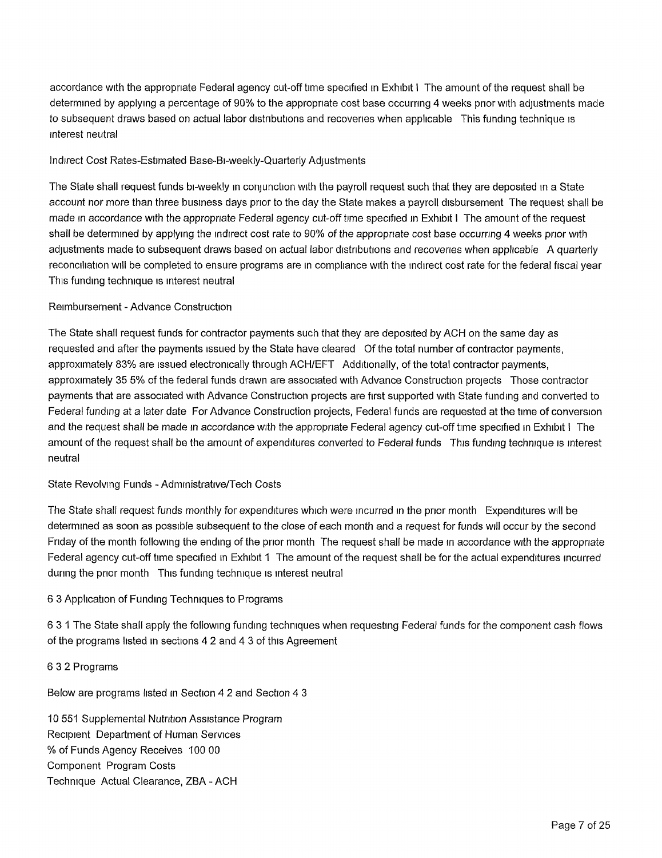accordance with the appropriate Federal agency cut-off time specified in Exhibit <sup>I</sup> The amount of the request shall be determined by applying a percentage of 90% to the appropriate cost base occurring 4 weeks prior with adjustments made to subsequent draws based on actual labor distributions and recoveries when applicable This funding technique is interest neutral

#### Indirect Cost Rates-Estimated Base-Bi-weekly-Quarterly Adjustments

The State shall request funds bi-weekly in conjunction with the payroll request such that they are deposited in a State account nor more than three business days prior to the day the State makes a payroll disbursement The request shall be made in accordance with the appropriate Federal agency cut-off time specified in Exhibit <sup>I</sup> The amount of the request shall be determined by applying the indirect cost rate to 90% of the appropriate cost base occurring 4 weeks prior with adjustments made to subsequent draws based on actual labor distributions and recoveries when applicable A quarterly reconciliation will be completed to ensure programs are in compliance with the indirect cost rate for the federal fiscal year This funding technique is interest neutral

#### Reimbursement - Advance Construction

The State shall request funds for contractor payments such that they are deposited by ACH on the same day as requested and after the payments issued by the State have cleared Of the total number of contractor payments, approximately 83% are issued electronically through ACH/EFT Additionally, of the total contractor payments, approximately 35 5% of the federal funds drawn are associated with Advance Construction projects Those contractor payments that are associated with Advance Construction projects are first supported with State funding and converted to Federal funding at a later date For Advance Construction projects, Federal funds are requested at the time of conversion and the request shall be made in accordance with the appropriate Federal agency cut-off time specified in Exhibit <sup>I</sup> The amount of the request shall be the amount of expenditures converted to Federal funds This funding technique is interest neutral

## State Revolving Funds - Administrative/Tech Costs

The State shall request funds monthly for expenditures which were incurred in the prior month Expenditures will be determined as soon as possible subsequent to the close of each month and a request for funds will occur by the second Friday of the month following the ending of the prior month The request shall be made in accordance with the appropriate Federal agency cut-off time specified in Exhibit <sup>1</sup> The amount of the request shall be for the actual expenditures incurred during the prior month This funding technique is interest neutral

## 6 3 Application of Funding Techniques to Programs

6 3 <sup>1</sup> The State shall apply the following funding techniques when requesting Federal funds for the component cash flows of the programs listed in sections 4 2 and 4 3 of this Agreement

#### 6 3 2 Programs

Below are programs listed in Section 4 2 and Section 4 3

10 551 Supplemental Nutrition Assistance Program Recipient Department of Human Services % of Funds Agency Receives 100 00 Component Program Costs Technique Actual Clearance, ZBA - ACH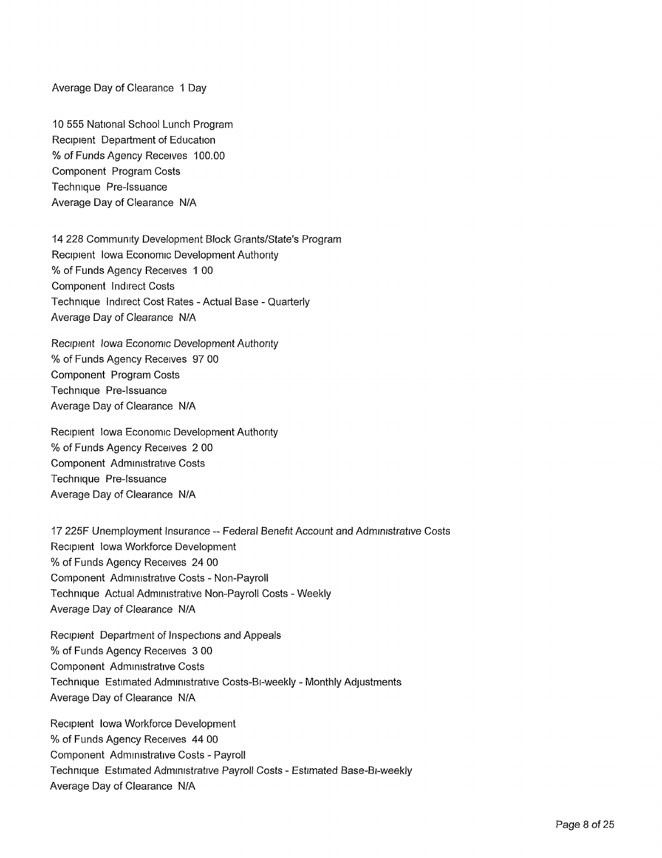Average Day of Clearance <sup>1</sup> Day

10 555 National School Lunch Program Recipient Department of Education % of Funds Agency Receives 100.00 Component Program Costs Technique Pre-Issuance Average Day of Clearance N/A

14 228 Community Development Block Grants/State's Program Recipient Iowa Economic Development Authority % of Funds Agency Receives <sup>1</sup> 00 Component Indirect Costs Technique Indirect Cost Rates - Actual Base - Quarterly Average Day of Clearance N/A

Recipient Iowa Economic Development Authority % of Funds Agency Receives 97 00 Component Program Costs Technique Pre-Issuance Average Day of Clearance N/A

Recipient Iowa Economic Development Authority % of Funds Agency Receives 2 00 Component Administrative Costs Technique Pre-Issuance Average Day of Clearance N/A

17 225F Unemployment Insurance - Federal Benefit Account and Administrative Costs Recipient Iowa Workforce Development % of Funds Agency Receives 24 00 Component Administrative Costs - Non-Payroll Technique Actual Administrative Non-Payroll Costs - Weekly Average Day of Clearance N/A

Recipient Department of Inspections and Appeals % of Funds Agency Receives 3 00 Component Administrative Costs Technique Estimated Administrative Costs-Bi-weekly - Monthly Adjustments Average Day of Clearance N/A

Recipient Iowa Workforce Development % of Funds Agency Receives 44 00 Component Administrative Costs - Payroll Technique Estimated Administrative Payroll Costs - Estimated Base-Bi-weekly Average Day of Clearance N/A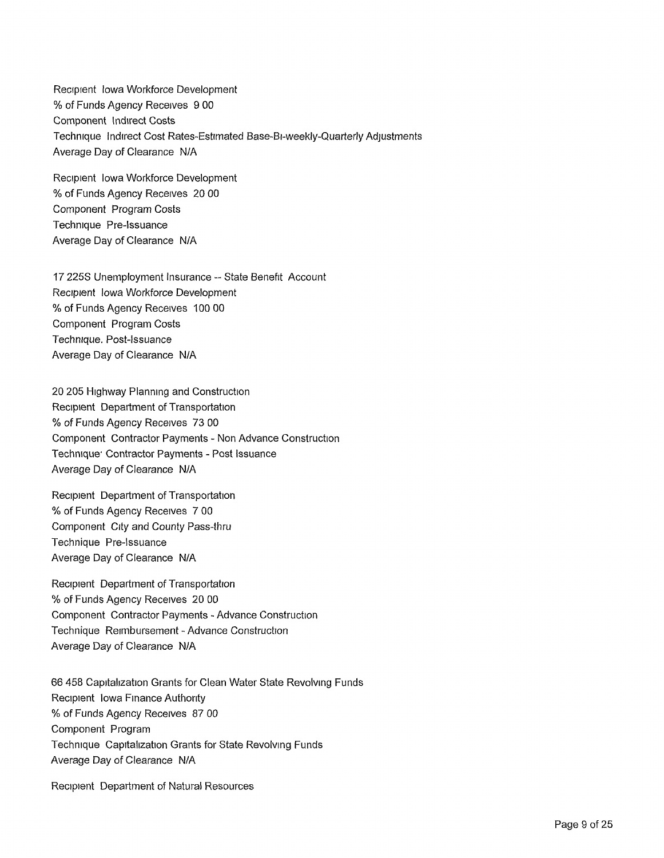Recipient Iowa Workforce Development % of Funds Agency Receives 9 00 Component Indirect Costs Technique Indirect Cost Rates-Estimated Base-Bi-weekly-Quarterly Adjustments Average Day of Clearance N/A

Recipient Iowa Workforce Development % of Funds Agency Receives 20 00 Component Program Costs Technique Pre-Issuance Average Day of Clearance N/A

17 225S Unemployment Insurance -- State Benefit Account Recipient Iowa Workforce Development % of Funds Agency Receives 100 00 Component Program Costs Technique. Post-Issuance Average Day of Clearance N/A

20 205 Highway Planning and Construction Recipient Department of Transportation % of Funds Agency Receives 73 00 Component Contractor Payments - Non Advance Construction Technique' Contractor Payments - Post Issuance Average Day of Clearance N/A

Recipient Department of Transportation % of Funds Agency Receives 7 00 Component City and County Pass-thru Technique Pre-Issuance Average Day of Clearance N/A

Recipient Department of Transportation % of Funds Agency Receives 20 00 Component Contractor Payments - Advance Construction Technique Reimbursement - Advance Construction Average Day of Clearance N/A

66 458 Capitalization Grants for Clean Water State Revolving Funds Recipient Iowa Finance Authority % of Funds Agency Receives 87 00 Component Program Technique Capitalization Grants for State Revolving Funds Average Day of Clearance N/A

Recipient Department of Natural Resources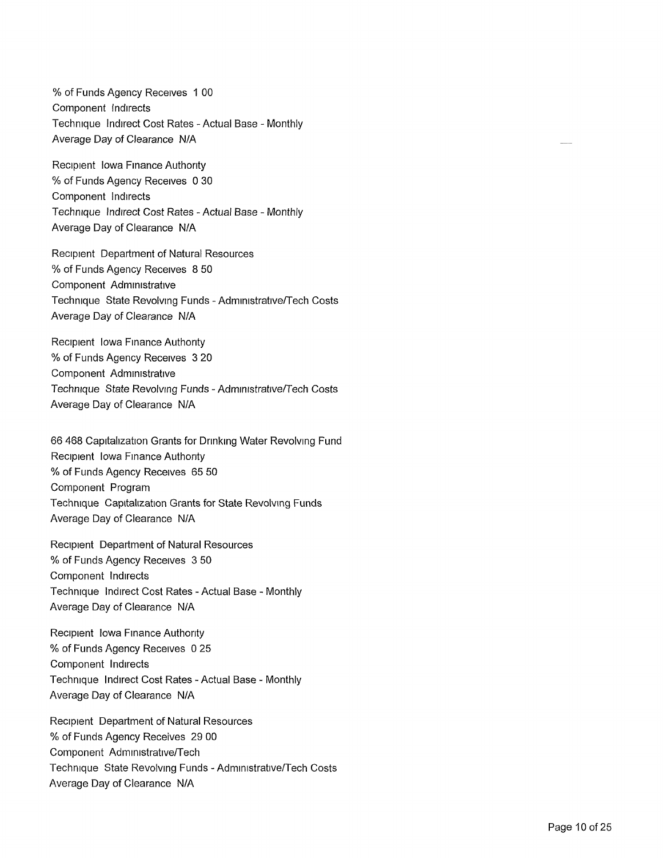% of Funds Agency Receives <sup>1</sup> 00 Component Indirects Technique Indirect Cost Rates - Actual Base - Monthly Average Day of Clearance N/A

Recipient Iowa Finance Authority % of Funds Agency Receives 0 30 Component Indirects Technique Indirect Cost Rates - Actual Base - Monthly Average Day of Clearance N/A

Recipient Department of Natural Resources % of Funds Agency Receives 8 50 Component Administrative Technique State Revolving Funds - Administrative/Tech Costs Average Day of Clearance N/A

Recipient Iowa Finance Authority % of Funds Agency Receives 3 20 Component Administrative Technique State Revolving Funds - Admmistrative/Tech Costs Average Day of Clearance N/A

66 468 Capitalization Grants for Drinking Water Revolving Fund Recipient Iowa Finance Authority % of Funds Agency Receives 65 50 Component Program Technique Capitalization Grants for State Revolving Funds Average Day of Clearance N/A

Recipient Department of Natural Resources % of Funds Agency Receives 3 50 Component Indirects Technique Indirect Cost Rates - Actual Base - Monthly Average Day of Clearance N/A

Recipient Iowa Finance Authority % of Funds Agency Receives 0 25 Component Indirects Technique Indirect Cost Rates - Actual Base - Monthly Average Day of Clearance N/A

Recipient Department of Natural Resources % of Funds Agency Receives 29 00 Component Administrative/Tech Technique State Revolving Funds - Administrative/Tech Costs Average Day of Clearance N/A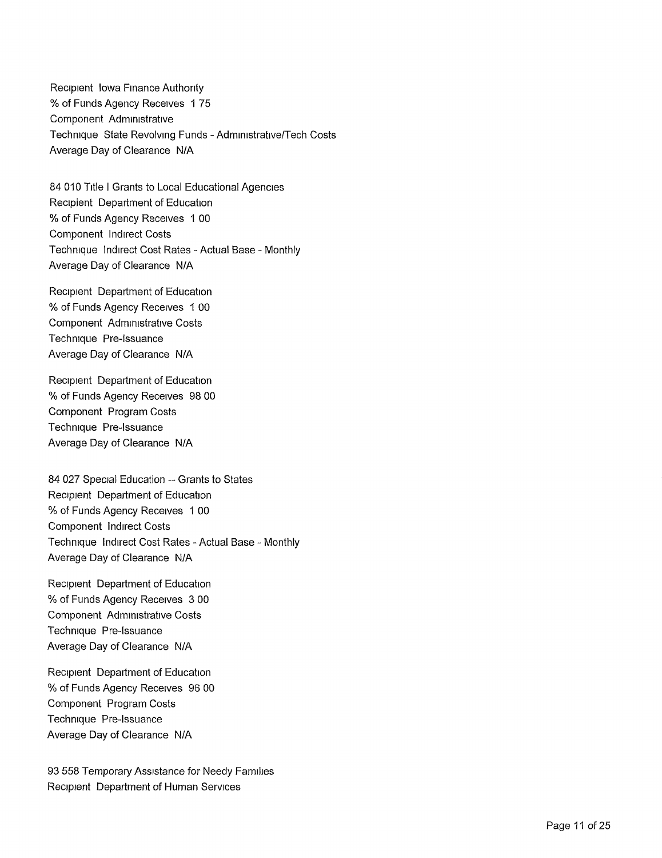Recipient Iowa Finance Authority % of Funds Agency Receives <sup>1</sup> 75 Component Administrative Technique State Revolving Funds - Administrative/Tech Costs Average Day of Clearance N/A

84 010 Title <sup>I</sup> Grants to Local Educational Agencies Recipient Department of Education % of Funds Agency Receives <sup>1</sup> 00 Component Indirect Costs Technique Indirect Cost Rates - Actual Base - Monthly Average Day of Clearance N/A

Recipient Department of Education % of Funds Agency Receives <sup>1</sup> 00 Component Administrative Costs Technique Pre-Issuance Average Day of Clearance N/A

Recipient Department of Education % of Funds Agency Receives 98 00 Component Program Costs Technique Pre-Issuance Average Day of Clearance N/A

84 027 Special Education — Grants to States Recipient Department of Education % of Funds Agency Receives <sup>1</sup> 00 Component Indirect Costs Technique Indirect Cost Rates - Actual Base - Monthly Average Day of Clearance N/A

Recipient Department of Education % of Funds Agency Receives 3 00 Component Administrative Costs Technique Pre-Issuance Average Day of Clearance N/A

Recipient Department of Education % of Funds Agency Receives 96 00 Component Program Costs Technique Pre-Issuance Average Day of Clearance N/A

93 558 Temporary Assistance for Needy Families Recipient Department of Human Services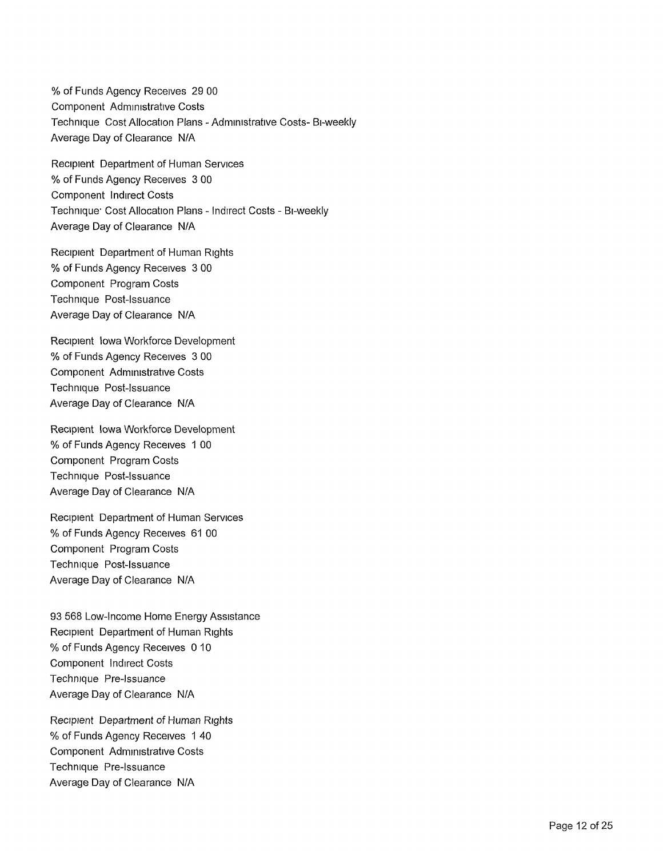% of Funds Agency Receives 29 00 Component Administrative Costs Technique Cost Allocation Plans - Administrative Costs- Bi-weekly Average Day of Clearance N/A

Recipient Department of Human Services % of Funds Agency Receives 3 00 Component Indirect Costs Technique' Cost Allocation Plans - Indirect Costs - Bi-weekly Average Day of Clearance N/A

Recipient Department of Human Rights % of Funds Agency Receives 3 00 Component Program Costs Technique Post-Issuance Average Day of Clearance N/A

Recipient Iowa Workforce Development % of Funds Agency Receives 3 00 Component Administrative Costs Technique Post-Issuance Average Day of Clearance N/A

Recipient Iowa Workforce Development % of Funds Agency Receives <sup>1</sup> 00 Component Program Costs Technique Post-Issuance Average Day of Clearance N/A

Recipient Department of Human Services % of Funds Agency Receives 61 00 Component Program Costs Technique Post-Issuance Average Day of Clearance N/A

93 568 Low-Income Home Energy Assistance Recipient Department of Human Rights % of Funds Agency Receives 0 10 Component Indirect Costs Technique Pre-Issuance Average Day of Clearance N/A

Recipient Department of Human Rights % of Funds Agency Receives <sup>1</sup> 40 Component Administrative Costs Technique Pre-Issuance Average Day of Clearance N/A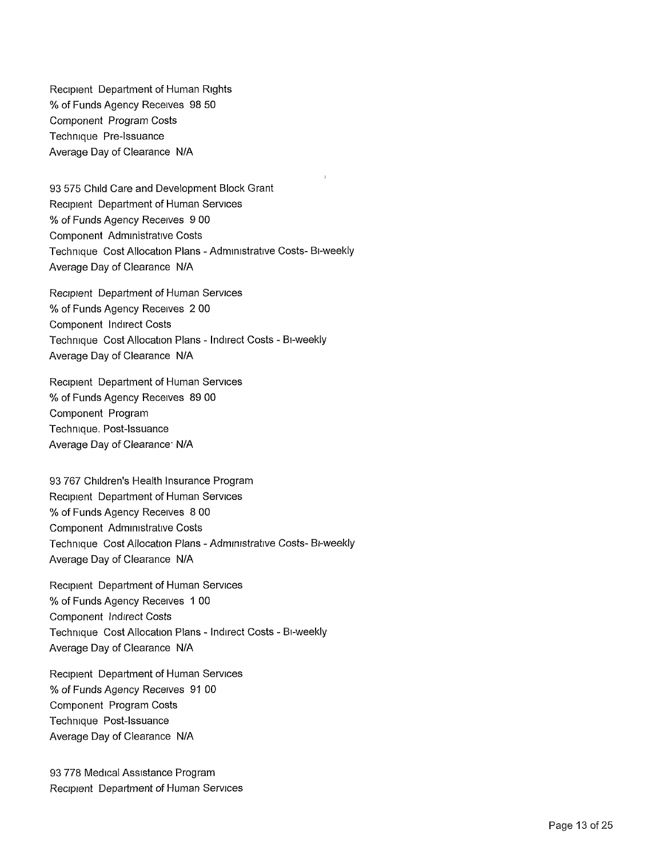Recipient Department of Human Rights % of Funds Agency Receives 98 50 Component Program Costs Technique Pre-Issuance Average Day of Clearance N/A

93 575 Child Care and Development Block Grant Recipient Department of Human Services % of Funds Agency Receives 9 00 Component Administrative Costs Technique Cost Allocation Plans - Administrative Costs- Bi-weekly Average Day of Clearance N/A

Recipient Department of Human Services % of Funds Agency Receives 2 00 Component Indirect Costs Technique Cost Allocation Plans - Indirect Costs - Bi-weekly Average Day of Clearance N/A

Recipient Department of Human Services % of Funds Agency Receives 89 00 Component Program Technique. Post-Issuance Average Day of Clearance<sup>.</sup> N/A

93 767 Children's Health Insurance Program Recipient Department of Human Services % of Funds Agency Receives 8 00 Component Administrative Costs Technique Cost Allocation Plans - Administrative Costs- Bi-weekly Average Day of Clearance N/A

Recipient Department of Human Services % of Funds Agency Receives <sup>1</sup> 00 Component Indirect Costs Technique Cost Allocation Plans - Indirect Costs - Bi-weekly Average Day of Clearance N/A

Recipient Department of Human Services % of Funds Agency Receives 91 00 Component Program Costs Technique Post-Issuance Average Day of Clearance N/A

93 778 Medical Assistance Program Recipient Department of Human Services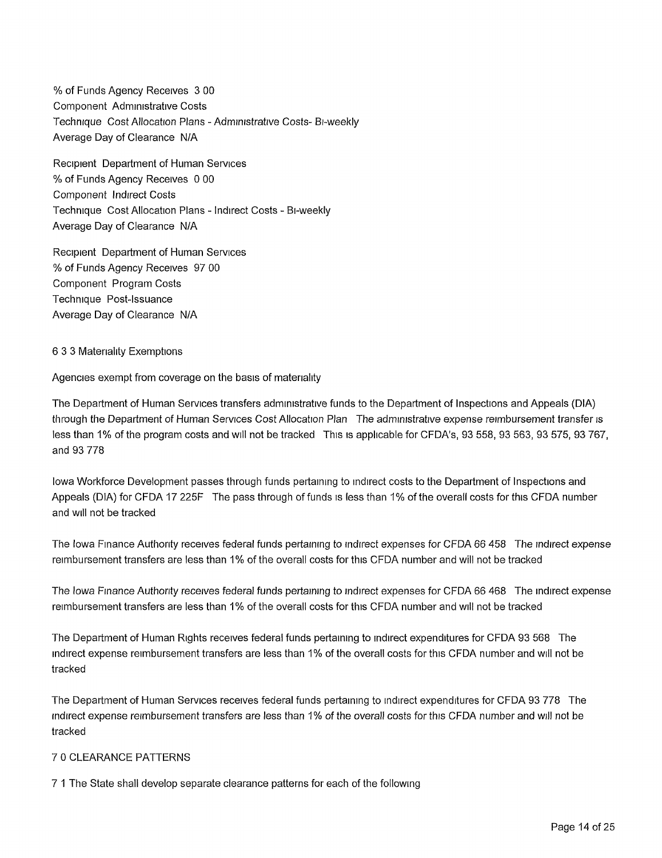% of Funds Agency Receives 3 00 Component Administrative Costs Technique Cost Allocation Plans - Administrative Costs- Bi-weekly Average Day of Clearance N/A

Recipient Department of Human Services % of Funds Agency Receives 0 00 Component Indirect Costs Technique Cost Allocation Plans - Indirect Costs - Bi-weekly Average Day of Clearance N/A

Recipient Department of Human Services % of Funds Agency Receives 97 00 Component Program Costs Technique Post-Issuance Average Day of Clearance N/A

#### 6 3 3 Materiality Exemptions

Agencies exempt from coverage on the basis of materiality

The Department of Human Services transfers administrative funds to the Department of Inspections and Appeals (DIA) through the Department of Human Services Cost Allocation Plan The administrative expense reimbursement transfer is less than 1% of the program costs and will not be tracked This is applicable for CFDA's, 93 558, 93 563, 93 575, 93 767, and 93 778

Iowa Workforce Development passes through funds pertaining to indirect costs to the Department of Inspections and Appeals (DIA) for CFDA 17 225F The pass through of funds is less than 1% of the overall costs for this CFDA number and will not be tracked

The Iowa Finance Authority receives federal funds pertaining to indirect expenses for CFDA 66 458 The indirect expense reimbursement transfers are less than 1% of the overall costs for this CFDA number and will not be tracked

The Iowa Finance Authority receives federal funds pertaining to indirect expenses for CFDA 66 468 The indirect expense reimbursement transfers are less than 1% of the overall costs for this CFDA number and will not be tracked

The Department of Human Rights receives federal funds pertaining to indirect expenditures for CFDA 93 568 The indirect expense reimbursement transfers are less than 1% of the overall costs for this CFDA number and will not be tracked

The Department of Human Services receives federal funds pertaining to indirect expenditures for CFDA 93 778 The indirect expense reimbursement transfers are less than 1% of the overall costs for this CFDA number and will not be tracked

#### 7 0 CLEARANCE PATTERNS

7 <sup>1</sup> The State shall develop separate clearance patterns for each of the following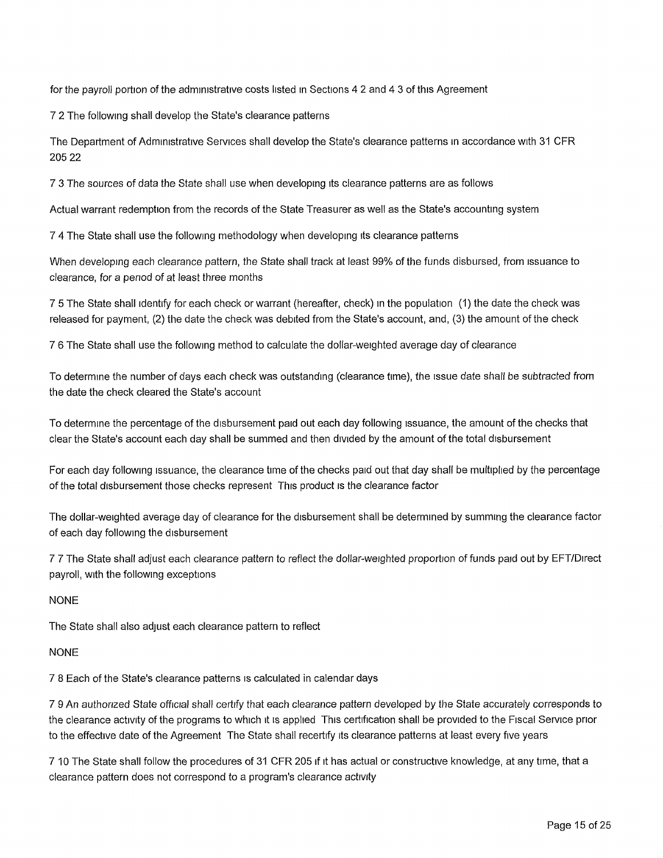for the payroll portion of the administrative costs listed in Sections 4 2 and 4 3 of this Agreement

7 2 The following shall develop the State's clearance patterns

The Department of Administrative Services shall develop the State's clearance patterns in accordance with 31 CFR 205 22

7 3 The sources of data the State shall use when developing its clearance patterns are as follows

Actual warrant redemption from the records of the State Treasurer as well as the State's accounting system

7 4 The State shall use the following methodology when developing its clearance patterns

When developing each clearance pattern, the State shall track at least 99% of the funds disbursed, from issuance to clearance, for a period of at least three months

7 5 The State shall identify for each check or warrant (hereafter, check) in the population (1) the date the check was released for payment, (2) the date the check was debited from the State's account, and, (3) the amount of the check

7 6 The State shall use the following method to calculate the dollar-weighted average day of clearance

To determine the number of days each check was outstanding (clearance time), the issue date shall be subtracted from the date the check cleared the State's account

To determine the percentage of the disbursement paid out each day following issuance, the amount of the checks that clear the State's account each day shall be summed and then divided by the amount of the total disbursement

For each day following issuance, the clearance time of the checks paid out that day shall be multiplied by the percentage of the total disbursement those checks represent This product is the clearance factor

The dollar-weighted average day of clearance for the disbursement shall be determined by summing the clearance factor of each day following the disbursement

7 7 The State shall adjust each clearance pattern to reflect the dollar-weighted proportion of funds paid out by EFT/Direct payroll, with the following exceptions

## NONE

The State shall also adjust each clearance pattern to reflect

## NONE

7 8 Each of the State's clearance patterns is calculated in calendar days

7 9 An authorized State official shall certify that each clearance pattern developed by the State accurately corresponds to the clearance activity of the programs to which it is applied This certification shall be provided to the Fiscal Service prior to the effective date of the Agreement The State shall recertify its clearance patterns at least every five years

7 10 The State shall follow the procedures of 31 CFR 205 if it has actual or constructive knowledge, at any time, that a clearance pattern does not correspond to a program's clearance activity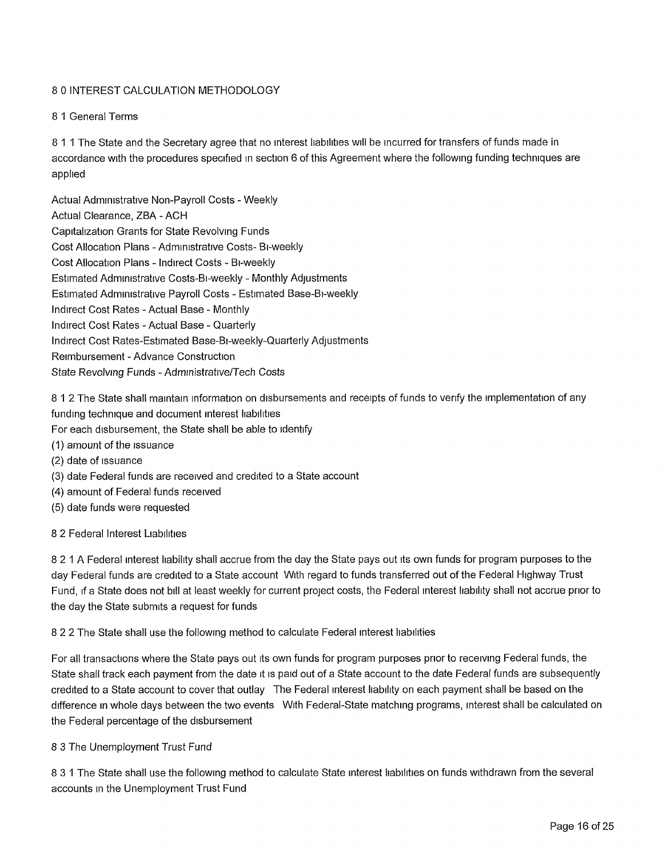## 8 0 INTEREST CALCULATION METHODOLOGY

## 8 <sup>1</sup> General Terms

8 11 The State and the Secretary agree that no interest liabilities will be incurred for transfers of funds made in accordance with the procedures specified in section 6 of this Agreement where the following funding techniques are applied

Actual Administrative Non-Payroll Costs - Weekly Actual Clearance, ZBA - ACH Capitalization Grants for State Revolving Funds Cost Allocation Plans - Administrative Costs- Bi-weekly Cost Allocation Plans - Indirect Costs - Bi-weekly Estimated Administrative Costs-Bi-weekly - Monthly Adjustments Estimated Administrative Payroll Costs - Estimated Base-Bi-weekly Indirect Cost Rates - Actual Base - Monthly Indirect Cost Rates - Actual Base - Quarterly Indirect Cost Rates-Estimated Base-Bi-weekly-Quarterly Adjustments Reimbursement - Advance Construction State Revolving Funds - Administrative/Tech Costs

8 <sup>1</sup> 2 The State shall maintain information on disbursements and receipts of funds to verify the implementation of any funding technique and document interest liabilities

For each disbursement, the State shall be able to identify

- (1) amount of the issuance
- (2) date of issuance
- (3) date Federal funds are received and credited to a State account
- (4) amount of Federal funds received
- (5) date funds were requested

8 2 Federal Interest Liabilities

8 2 <sup>1</sup> A Federal interest liability shall accrue from the day the State pays out its own funds for program purposes to the day Federal funds are credited to a State account With regard to funds transferred out of the Federal Highway Trust Fund, if a State does not bill at least weekly for current project costs, the Federal interest liability shall not accrue prior to the day the State submits a request for funds

8 2 2 The State shall use the following method to calculate Federal interest liabilities

For all transactions where the State pays out its own funds for program purposes prior to receiving Federal funds, the State shall track each payment from the date it is paid out of a State account to the date Federal funds are subsequently credited to a State account to cover that outlay The Federal interest liability on each payment shall be based on the difference in whole days between the two events With Federal-State matching programs, interest shall be calculated on the Federal percentage of the disbursement

8 3 The Unemployment Trust Fund

8 3 <sup>1</sup> The State shall use the following method to calculate State interest liabilities on funds withdrawn from the several accounts in the Unemployment Trust Fund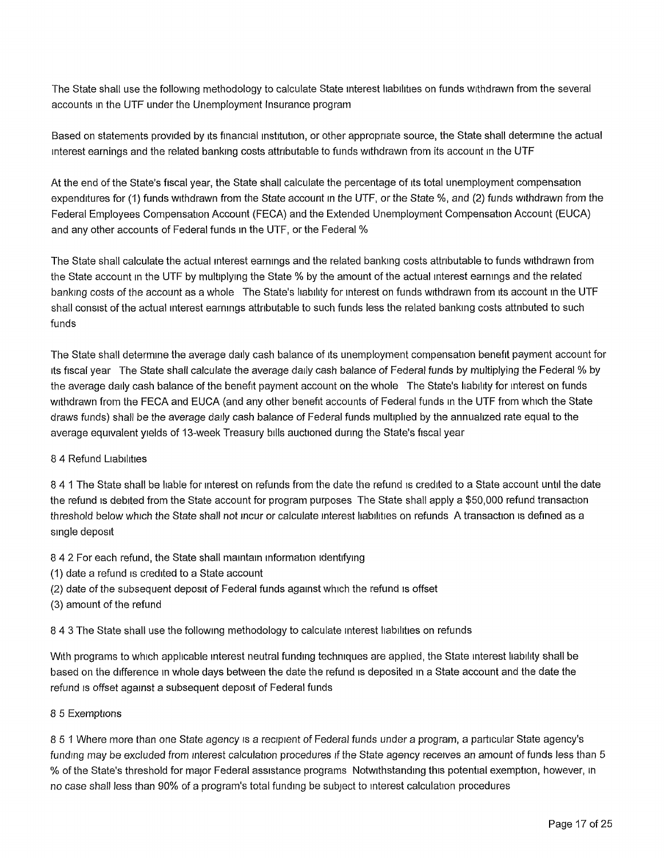The State shall use the following methodology to calculate State interest liabilities on funds withdrawn from the several accounts in the UTF under the Unemployment Insurance program

Based on statements provided by its financial institution, or other appropriate source, the State shall determine the actual interest earnings and the related banking costs attributable to funds withdrawn from its account in the UTF

At the end of the State's fiscal year, the State shall calculate the percentage of its total unemployment compensation expenditures for (1) funds withdrawn from the State account in the UTF, or the State %, and (2) funds withdrawn from the Federal Employees Compensation Account (FECA) and the Extended Unemployment Compensation Account (EUCA) and any other accounts of Federal funds in the UTF, or the Federal %

The State shall calculate the actual interest earnings and the related banking costs attributable to funds withdrawn from the State account in the UTF by multiplying the State % by the amount of the actual interest earnings and the related banking costs of the account as a whole The State's liability for interest on funds withdrawn from its account in the UTF shall consist of the actual interest earnings attributable to such funds less the related banking costs attributed to such funds

The State shall determine the average daily cash balance of its unemployment compensation benefit payment account for its fiscal year The State shall calculate the average daily cash balance of Federal funds by multiplying the Federal % by the average daily cash balance of the benefit payment account on the whole The State's liability for interest on funds withdrawn from the FECA and EUCA (and any other benefit accounts of Federal funds in the UTF from which the State draws funds) shall be the average daily cash balance of Federal funds multiplied by the annualized rate equal to the average equivalent yields of 13-week Treasury bills auctioned during the State's fiscal year

#### 8 4 Refund Liabilities

8 4 <sup>1</sup> The State shall be liable for interest on refunds from the date the refund is credited to a State account until the date the refund is debited from the State account for program purposes The State shall apply a \$50,000 refund transaction threshold below which the State shall not incur or calculate interest liabilities on refunds A transaction is defined as a single deposit

- 8 4 2 For each refund, the State shall maintain information identifying
- (1) date a refund is credited to a State account
- (2) date of the subsequent deposit of Federal funds against which the refund is offset
- (3) amount of the refund

8 4 3 The State shall use the following methodology to calculate interest liabilities on refunds

With programs to which applicable interest neutral funding techniques are applied, the State interest liability shall be based on the difference in whole days between the date the refund is deposited in a State account and the date the refund is offset against a subsequent deposit of Federal funds

#### 8 5 Exemptions

8 5 <sup>1</sup> Where more than one State agency is a recipient of Federal funds under a program, a particular State agency's funding may be excluded from interest calculation procedures if the State agency receives an amount of funds less than 5 % of the State's threshold for major Federal assistance programs Notwithstanding this potential exemption, however, in no case shall less than 90% of a program's total funding be subject to interest calculation procedures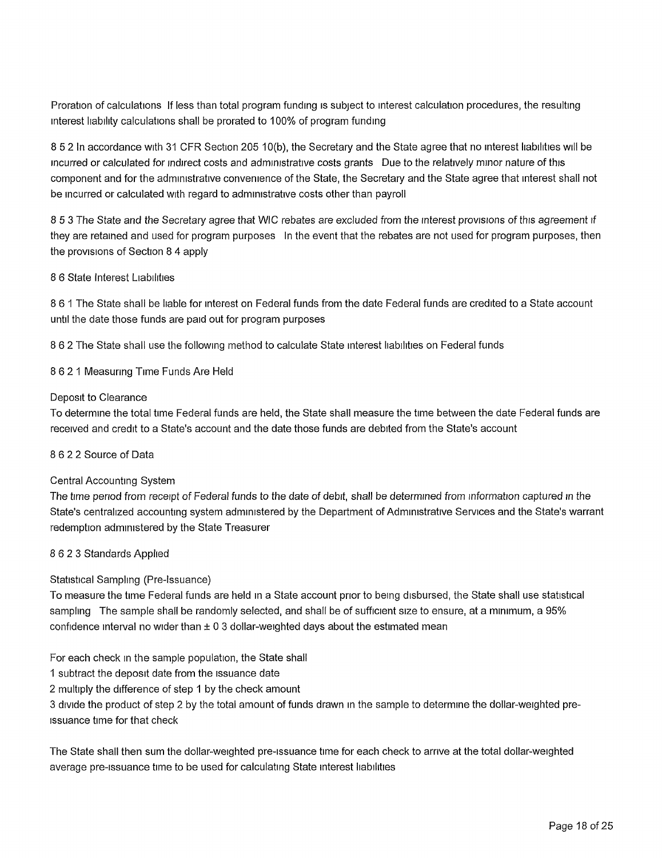Proration of calculations If less than total program funding is subject to interest calculation procedures, the resulting interest liability calculations shall be prorated to 100% of program funding

8 5 2 In accordance with 31 CFR Section 205 10(b), the Secretary and the State agree that no interest liabilities will be incurred or calculated for indirect costs and administrative costs grants Due to the relatively minor nature of this component and for the administrative convenience of the State, the Secretary and the State agree that interest shall not be incurred or calculated with regard to administrative costs other than payroll

8 5 3 The State and the Secretary agree that WIG rebates are excluded from the interest provisions of this agreement *if* they are retained and used for program purposes In the event that the rebates are not used for program purposes, then the provisions of Section 8 4 apply

#### 8 6 State Interest Liabilities

8 6 <sup>1</sup> The State shall be liable for interest on Federal funds from the date Federal funds are credited to a State account until the date those funds are paid out for program purposes

8 6 2 The State shall use the following method to calculate State interest liabilities on Federal funds

8 6 2 <sup>1</sup> Measuring Time Funds Are Held

#### Deposit to Clearance

To determine the total time Federal funds are held, the State shall measure the time between the date Federal funds are received and credit to a State's account and the date those funds are debited from the State's account

#### 8 6 2 2 Source of Data

#### Central Accounting System

The time period from receipt of Federal funds to the date of debit, shall be determined from information captured in the State's centralized accounting system administered by the Department of Administrative Services and the State's warrant redemption administered by the State Treasurer

#### 8 6 2 3 Standards Applied

## Statistical Sampling (Pre-Issuance)

To measure the time Federal funds are held in a State account prior to being disbursed, the State shall use statistical sampling The sample shall be randomly selected, and shall be of sufficient size to ensure, at a minimum, a 95% confidence interval no wider than  $\pm 0.3$  dollar-weighted days about the estimated mean

For each check in the sample population, the State shall

1 subtract the deposit date from the issuance date

2 multiply the difference of step <sup>1</sup> by the check amount

3 divide the product of step 2 by the total amount of funds drawn in the sample to determine the dollar-weighted preissuance time for that check

The State shall then sum the dollar-weighted pre-issuance time for each check to arrive at the total dollar-weighted average pre-issuance time to be used for calculating State interest liabilities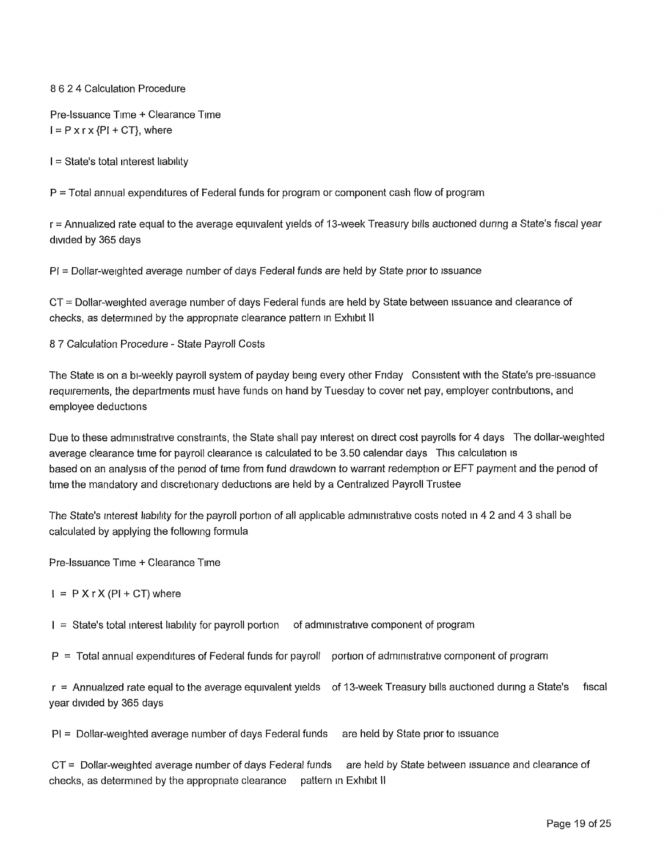### 8 6 2 4 Calculation Procedure

Pre-Issuance Time + Clearance Time  $I = P \times r \times \{P\} + CT\}$ , where

<sup>I</sup> = State's total interest liability

P = Total annual expenditures of Federal funds for program or component cash flow of program

r = Annualized rate equal to the average equivalent yields of 13-week Treasury bills auctioned during a State's fiscal year divided by 365 days

PI = Dollar-weighted average number of days Federal funds are held by State prior to issuance

CT = Dollar-weighted average number of days Federal funds are held by State between issuance and clearance of checks, as determined by the appropriate clearance pattern in Exhibit II

8 7 Calculation Procedure - State Payroll Costs

The State is on a bi-weekly payroll system of payday being every other Friday Consistent with the State's pre-issuance requirements, the departments must have funds on hand by Tuesday to cover net pay, employer contributions, and employee deductions

Due to these administrative constraints, the State shall pay interest on direct cost payrolls for 4 days The dollar-weighted average clearance time for payroll clearance is calculated to be 3.50 calendar days This calculation is based on an analysis of the period of time from fund drawdown to warrant redemption or EFT payment and the period of time the mandatory and discretionary deductions are held by a Centralized Payroll Trustee

The State's interest liability for the payroll portion of all applicable administrative costs noted in 4 2 and 4 3 shall be calculated by applying the following formula

Pre-Issuance Time + Clearance Time

 $I = P X r X (PI + CT)$  where

<sup>I</sup> = State's total interest liability for payroll portion of administrative component of program

 $P =$  Total annual expenditures of Federal funds for payroll portion of administrative component of program

 $r =$  Annualized rate equal to the average equivalent yields of 13-week Treasury bills auctioned during a State's fiscal year divided by 365 days

PI = Dollar-weighted average number of days Federal funds are held by State prior to issuance

CT = Dollar-weighted average number of days Federal funds are held by State between issuance and clearance of checks, as determined by the appropriate clearance pattern in Exhibit II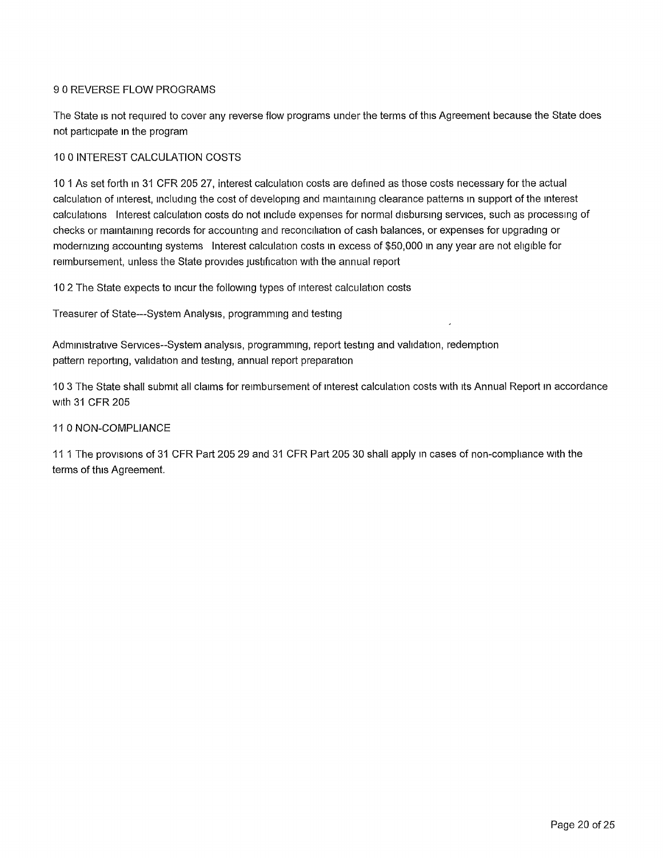## 9 0 REVERSE FLOW PROGRAMS

The State is not required to cover any reverse flow programs under the terms of this Agreement because the State does not participate in the program

### 10 0 INTEREST CALCULATION COSTS

10 <sup>1</sup> As set forth in 31 CFR 205 27, interest calculation costs are defined as those costs necessary for the actual calculation of interest, including the cost of developing and maintaining clearance patterns in support of the interest calculations Interest calculation costs do not include expenses for normal disbursing services, such as processing of checks or maintaining records for accounting and reconciliation of cash balances, or expenses for upgrading or modernizing accounting systems Interest calculation costs in excess of \$50,000 in any year are not eligible for reimbursement, unless the State provides justification with the annual report

10 2 The State expects to incur the following types of interest calculation costs

Treasurer of State—System Analysis, programming and testing

Administrative Services-System analysis, programming, report testing and validation, redemption pattern reporting, validation and testing, annual report preparation

10 3 The State shall submit all claims for reimbursement of interest calculation costs with its Annual Report in accordance with 31 CFR 205

#### 11 0 NON-COMPLIANCE

11 <sup>1</sup> The provisions of 31 CFR Part 205 29 and 31 CFR Part 205 30 shall apply in cases of non-compliance with the terms of this Agreement.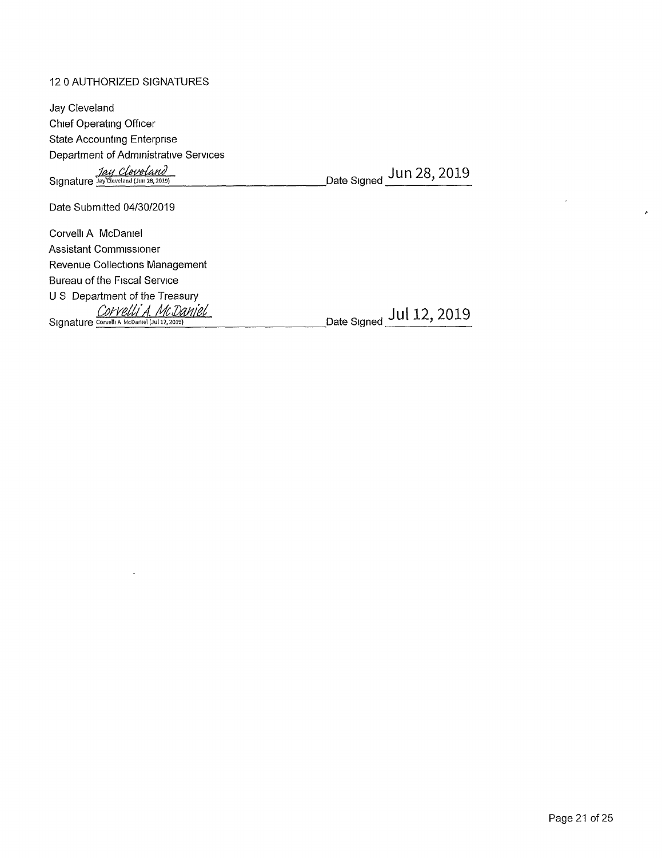## 12 0 AUTHORIZED SIGNATURES

 $\sim$ 

| Jay Cleveland                                                        |                          |
|----------------------------------------------------------------------|--------------------------|
| Chief Operating Officer                                              |                          |
| <b>State Accounting Enterprise</b>                                   |                          |
| Department of Administrative Services                                |                          |
| Jay Cleveland                                                        | Date Signed Jun 28, 2019 |
| Date Submitted 04/30/2019                                            |                          |
| Corvelli A McDaniel                                                  |                          |
| Assistant Commissioner                                               |                          |
| Revenue Collections Management                                       |                          |
| Bureau of the Fiscal Service                                         |                          |
| U S Department of the Treasury                                       |                          |
| Corvelli A. McDaniel<br>Signature Corvelli A McDaniel (Jul 12, 2019) | Date Signed Jul 12, 2019 |

 $\label{eq:2.1} \frac{1}{\sqrt{2}}\int_{\mathbb{R}^3} \left|\frac{d\mathbf{x}}{d\mathbf{x}}\right|^2 \, d\mathbf{x} \, d\mathbf{x} \, d\mathbf{x} \, d\mathbf{x} \, d\mathbf{x} \, d\mathbf{x} \, d\mathbf{x} \, d\mathbf{x} \, d\mathbf{x} \, d\mathbf{x} \, d\mathbf{x} \, d\mathbf{x} \, d\mathbf{x} \, d\mathbf{x} \, d\mathbf{x} \, d\mathbf{x} \, d\mathbf{x} \, d\mathbf{x} \, d\mathbf{x} \, d\mathbf{x} \, d\mathbf{x$ 

 $\mathcal{A}$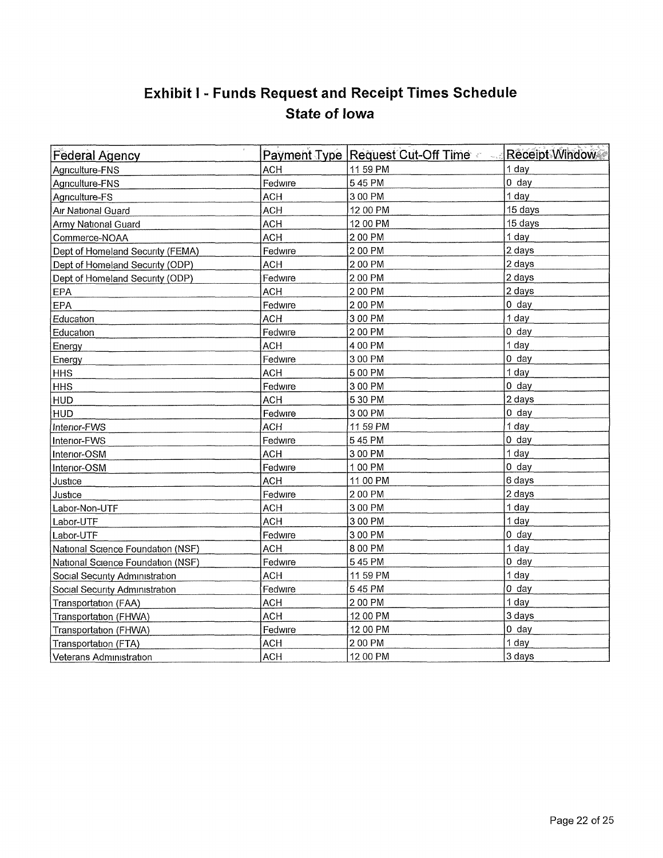## **Exhibit <sup>I</sup> - Funds Request and Receipt Times Schedule State of Iowa**

| <b>Federal Agency</b>             |            | Payment Type Request Cut-Off Time | Receipt Window |
|-----------------------------------|------------|-----------------------------------|----------------|
| Agriculture-FNS                   | <b>ACH</b> | 11 59 PM                          | 1 day          |
| Agriculture-FNS                   | Fedwire    | 545 PM                            | $0$ day        |
| Agriculture-FS                    | <b>ACH</b> | 3 00 PM                           | 1 day          |
| Air National Guard                | <b>ACH</b> | 12 00 PM                          | 15 days        |
| Army National Guard               | <b>ACH</b> | 12 00 PM                          | 15 days        |
| Commerce-NOAA                     | <b>ACH</b> | 2 00 PM                           | 1 day          |
| Dept of Homeland Security (FEMA)  | Fedwire    | 2 00 PM                           | 2 days         |
| Dept of Homeland Security (ODP)   | <b>ACH</b> | 2 00 PM                           | 2 days         |
| Dept of Homeland Security (ODP)   | Fedwire    | 2 00 PM                           | 2 days         |
| EPA                               | ACH        | 2 00 PM                           | 2 days         |
| <b>EPA</b>                        | Fedwire    | 2 00 PM                           | $0$ day        |
| Education                         | <b>ACH</b> | 3 00 PM                           | 1 day          |
| Education                         | Fedwire    | 2 00 PM                           | $0$ day        |
| Energy                            | <b>ACH</b> | 4 00 PM                           | 1 day          |
| Energy                            | Fedwire    | 3 00 PM                           | $0$ day        |
| <b>HHS</b>                        | <b>ACH</b> | 5 00 PM                           | 1 day          |
| <b>HHS</b>                        | Fedwire    | 3 00 PM                           | $0$ day        |
| <b>HUD</b>                        | <b>ACH</b> | 5 30 PM                           | 2 days         |
| <b>HUD</b>                        | Fedwire    | 3 00 PM                           | $0$ day        |
| Interior-FWS                      | <b>ACH</b> | 11 59 PM                          | 1 day          |
| Interior-FWS                      | Fedwire    | 545 PM                            | $0$ day        |
| Interior-OSM                      | <b>ACH</b> | 3 00 PM                           | 1 day          |
| Interior-OSM                      | Fedwire    | 1 00 PM                           | $0$ day        |
| Justice                           | <b>ACH</b> | 11 00 PM                          | 6 days         |
| Justice                           | Fedwire    | 2 00 PM                           | 2 days         |
| Labor-Non-UTF                     | <b>ACH</b> | 3 00 PM                           | 1 day          |
| Labor-UTF                         | <b>ACH</b> | 3 00 PM                           | 1 day          |
| Labor-UTF                         | Fedwire    | 3 00 PM                           | $0$ day        |
| National Science Foundation (NSF) | <b>ACH</b> | 8 00 PM                           | 1 day          |
| National Science Foundation (NSF) | Fedwire    | 545 PM                            | $0$ day        |
| Social Security Administration    | <b>ACH</b> | 11 59 PM                          | 1 day          |
| Social Security Administration    | Fedwire    | 545 PM                            | $0$ day        |
| Transportation (FAA)              | <b>ACH</b> | 2 00 PM                           | 1 day          |
| Transportation (FHWA)             | <b>ACH</b> | 12 00 PM                          | 3 days         |
| Transportation (FHWA)             | Fedwire    | 12 00 PM                          | $0$ day        |
| Transportation (FTA)              | <b>ACH</b> | 2 00 PM                           | 1 day          |
| Veterans Administration           | <b>ACH</b> | 12 00 PM                          | 3 days         |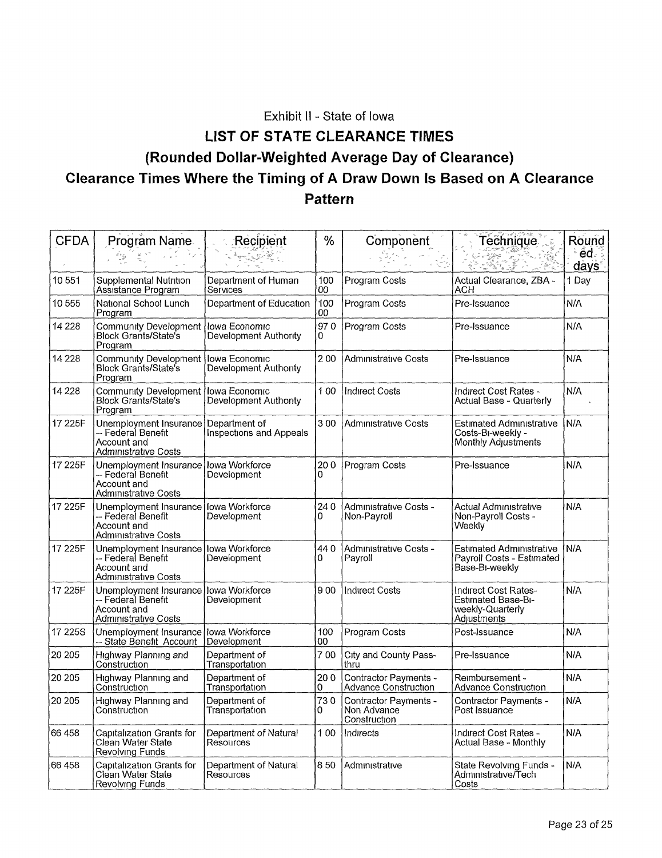Exhibit II - State of Iowa

# **LIST OF STATE CLEARANCE TIMES (Rounded Dollar-Weighted Average Day of Clearance) Clearance Times Where the Timing of A Draw Down Is Based on A Clearance Pattern**

| <b>CFDA</b> | Program Name                                                                                         | Recipient                                | $\frac{0}{0}$ | Component                                            | Technique<br>رة<br>راجار                                                      | Round<br>ed.      |
|-------------|------------------------------------------------------------------------------------------------------|------------------------------------------|---------------|------------------------------------------------------|-------------------------------------------------------------------------------|-------------------|
|             |                                                                                                      |                                          |               |                                                      |                                                                               | days <sup>®</sup> |
| 10551       | Supplemental Nutrition<br>Assistance Program                                                         | Department of Human<br>Services          | 100<br>00     | Program Costs                                        | Actual Clearance, ZBA -<br>ACH                                                | 1 Day             |
| 10555       | National School Lunch<br>Program                                                                     | Department of Education                  | 100<br>$00\,$ | Program Costs                                        | Pre-Issuance                                                                  | N/A               |
| 14 228      | Community Development lowa Economic<br><b>Block Grants/State's</b><br>Program                        | Development Authority                    | 970<br>0      | Program Costs                                        | Pre-Issuance                                                                  | N/A               |
| 14 2 28     | <b>Community Development</b><br><b>Block Grants/State's</b><br>Program                               | Iowa Economic<br>Development Authority   | 200           | Administrative Costs                                 | Pre-Issuance                                                                  | N/A               |
| 14 228      | <b>Community Development</b><br><b>Block Grants/State's</b><br>Program                               | Iowa Economic<br>Development Authority   | 100           | <b>Indirect Costs</b>                                | Indirect Cost Rates -<br>Actual Base - Quarterly                              | N/A               |
| 17 225F     | Unemployment Insurance<br>-- Federal Benefit<br>Account and<br>Administrative Costs                  | Department of<br>Inspections and Appeals | 300           | <b>Administrative Costs</b>                          | <b>Estimated Administrative</b><br>Costs-Bi-weekly -<br>Monthly Adjustments   | N/A               |
| 17 225F     | Unemployment Insurance<br>-- Federal Benefit<br>Account and<br>Administrative Costs                  | Iowa Workforce<br>Development            | 200<br>0      | Program Costs                                        | Pre-Issuance                                                                  | N/A               |
| 17 225F     | Unemployment Insurance   Iowa Workforce<br>-- Federal Benefit<br>Account and<br>Administrative Costs | Development                              | 240<br>0      | Administrative Costs -<br>Non-Payroll                | Actual Administrative<br>Non-Payroll Costs -<br>Weeklv                        | N/A               |
| 17 225F     | Unemployment Insurance<br>-- Federal Benefit<br>Account and<br>Administrative Costs                  | lowa Workforce<br>Development            | 440<br>0      | Administrative Costs -<br>Payroll                    | Estimated Administrative<br>Payroll Costs - Estimated<br>Base-BI-weekly       | N/A               |
| 17 225F     | Unemployment Insurance lowa Workforce<br>-- Federal Benefit<br>Account and<br>Administrative Costs   | Development                              | 900           | <b>Indirect Costs</b>                                | Indirect Cost Rates-<br>Estimated Base-Bi-<br>weekly-Quarterly<br>Adjustments | N/A               |
| 17 225S     | Unemployment Insurance   lowa Workforce<br>-- State Benefit Account                                  | Development                              | 100<br>00     | Program Costs                                        | Post-Issuance                                                                 | N/A               |
| 20 205      | Highway Planning and<br>Construction                                                                 | Department of<br>Transportation          | 700           | City and County Pass-<br>thru                        | Pre-Issuance                                                                  | N/A               |
| 20 205      | Highway Planning and<br>Construction                                                                 | Department of<br>Transportation          | 200<br>0      | Contractor Payments -<br>Advance Construction        | Reimbursement -<br>Advance Construction                                       | N/A               |
| 20 20 5     | Highway Planning and<br>Construction                                                                 | Department of<br>Transportation          | 730<br>0      | Contractor Payments -<br>Non Advance<br>Construction | Contractor Payments -<br>Post Issuance                                        | N/A               |
| 66 458      | Capitalization Grants for<br>Clean Water State<br>Revolving Funds                                    | Department of Natural<br>Resources       | 100           | Indirects                                            | Indirect Cost Rates -<br>Actual Base - Monthly                                | N/A               |
| 66458       | Capitalization Grants for<br>Clean Water State<br>Revolving Funds                                    | Department of Natural<br>Resources       | 850           | Admınıstratıve                                       | State Revolving Funds -<br>Administrative/Tech<br>Costs                       | N/A               |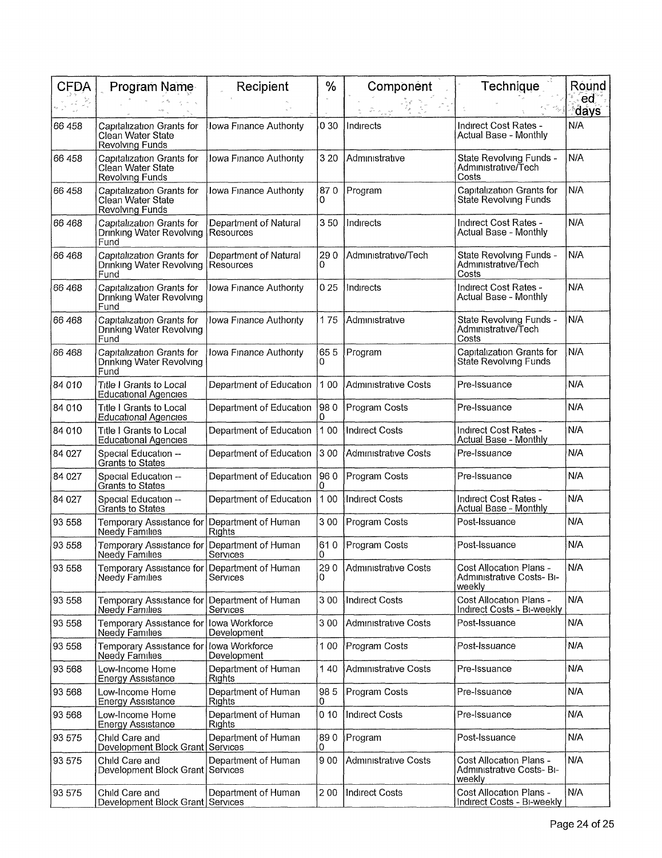| <b>CFDA</b> | Program Name                                                          | Recipient                          | %        | Component                   | Technique                                                      | Round                   |
|-------------|-----------------------------------------------------------------------|------------------------------------|----------|-----------------------------|----------------------------------------------------------------|-------------------------|
|             |                                                                       |                                    |          |                             |                                                                | ed<br><sup>∘</sup> ḋays |
| 66 458      | Capitalization Grants for<br>Clean Water State<br>Revolving Funds     | Iowa Finance Authority             | 030      | Indirects                   | Indirect Cost Rates -<br>Actual Base - Monthly                 | N/A                     |
| 66 458      | Capitalization Grants for<br>Clean Water State<br>Revolving Funds     | <b>Jowa Finance Authority</b>      | 3 2 0    | Administrative              | State Revolving Funds -<br>Administrative/Tech<br>Costs        | N/A                     |
| 66 458      | Capitalization Grants for<br>Clean Water State<br>Revolving Funds     | Iowa Finance Authority             | 870<br>O | Program                     | Capitalization Grants for<br>State Revolving Funds             | N/A                     |
| 66 468      | Capitalization Grants for<br>Drinking Water Revolving<br>Fund         | Department of Natural<br>Resources | 350      | Indirects                   | Indirect Cost Rates -<br>Actual Base - Monthly                 | N/A                     |
| 66 468      | Capitalization Grants for<br>Drinking Water Revolving<br>Fund         | Department of Natural<br>Resources | 290<br>0 | Administrative/Tech         | State Revolving Funds -<br>Administrative/Tech<br>Costs        | N/A                     |
| 66 468      | Capitalization Grants for<br>Drinking Water Revolving<br>Fund         | Iowa Finance Authority             | 025      | Indirects                   | Indirect Cost Rates -<br>Actual Base - Monthly                 | N/A                     |
| 66 468      | Capitalization Grants for<br>Drinking Water Revolving<br>Fund         | Iowa Finance Authority             | 175      | Administrative              | State Revolving Funds -<br>Administrative/Tech<br>Costs        | N/A                     |
| 66 468      | Capitalization Grants for<br>Drinking Water Revolving<br>Fund         | Iowa Finance Authority             | 655<br>0 | Program                     | Capitalization Grants for<br>State Revolving Funds             | N/A                     |
| 84 010      | Title I Grants to Local<br><b>Educational Agencies</b>                | Department of Education            | 100      | <b>Administrative Costs</b> | Pre-Issuance                                                   | N/A                     |
| 84 010      | Title I Grants to Local<br><b>Educational Agencies</b>                | Department of Education            | 980<br>0 | Program Costs               | Pre-Issuance                                                   | N/A                     |
| 84 010      | Title I Grants to Local<br><b>Educational Agencies</b>                | Department of Education            | 100      | <b>Indirect Costs</b>       | Indirect Cost Rates -<br>Actual Base - Monthly                 | N/A                     |
| 84 027      | Special Education --<br>Grants to States                              | Department of Education            | 3 00     | <b>Administrative Costs</b> | Pre-Issuance                                                   | N/A                     |
| 84 027      | Special Education --<br><b>Grants to States</b>                       | Department of Education            | 960<br>0 | Program Costs               | Pre-Issuance                                                   | N/A                     |
| 84 027      | Special Education --<br>Grants to States                              | Department of Education            | 100      | <b>Indirect Costs</b>       | Indirect Cost Rates -<br>Actual Base - Monthly                 | N/A                     |
| 93 558      | Temporary Assistance for<br>Needy Families                            | Department of Human<br>Rights      | 300      | Program Costs               | Post-Issuance                                                  | N/A                     |
| 93 558      | Temporary Assistance for<br><b>Needy Families</b>                     | Department of Human<br>Services    | 610<br>0 | Program Costs               | Post-Issuance                                                  | N/A                     |
| 93 558      | Temporary Assistance for Department of Human<br><b>Needy Families</b> | Services                           | 290<br>0 | Administrative Costs        | Cost Allocation Plans -<br>Administrative Costs- Bi-<br>weekly | N/A                     |
| 93 558      | Temporary Assistance for<br><b>Needy Families</b>                     | Department of Human<br>Services    | 300      | <b>Indirect Costs</b>       | Cost Allocation Plans -<br>Indirect Costs - Bi-weekly          | N/A                     |
| 93 558      | Temporary Assistance for<br><b>Needy Families</b>                     | Iowa Workforce<br>Development      | 300      | <b>Administrative Costs</b> | Post-Issuance                                                  | N/A                     |
| 93 558      | Temporary Assistance for<br><b>Needy Families</b>                     | lowa Workforce<br>Development      | 1 00     | Program Costs               | Post-Issuance                                                  | N/A                     |
| 93 568      | Low-Income Home<br><b>Energy Assistance</b>                           | Department of Human<br>Rights      | 140      | <b>Administrative Costs</b> | Pre-Issuance                                                   | N/A                     |
| 93 568      | Low-Income Home<br><b>Energy Assistance</b>                           | Department of Human<br>Rights      | 985<br>0 | Program Costs               | Pre-Issuance                                                   | N/A                     |
| 93 568      | Low-Income Home<br><b>Energy Assistance</b>                           | Department of Human<br>Rights      | 010      | <b>Indirect Costs</b>       | Pre-Issuance                                                   | N/A                     |
| 93 575      | Child Care and<br>Development Block Grant Services                    | Department of Human                | 890<br>0 | Program                     | Post-Issuance                                                  | N/A                     |
| 93 575      | Child Care and<br>Development Block Grant Services                    | Department of Human                | 900      | Administrative Costs        | Cost Allocation Plans -<br>Admınıstratıve Costs- Bı-<br>weekly | N/A                     |
| 93 575      | Child Care and<br>Development Block Grant Services                    | Department of Human                | 200      | <b>Indirect Costs</b>       | Cost Allocation Plans -<br>Indirect Costs - Bi-weekly          | N/A                     |